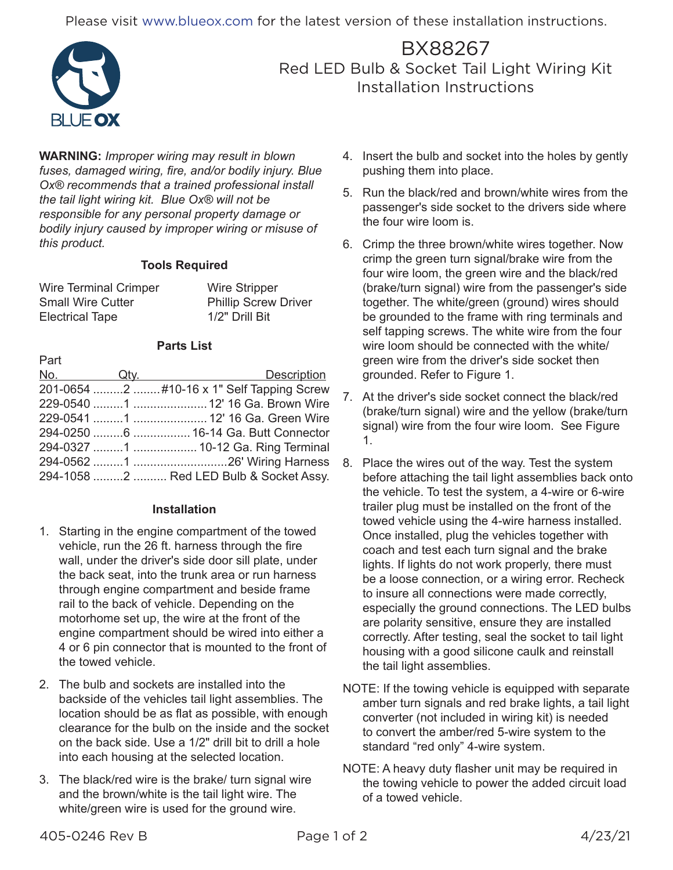Please visit www.blueox.com for the latest version of these installation instructions.



BX88267 Red LED Bulb & Socket Tail Light Wiring Kit Installation Instructions

**WARNING:** *Improper wiring may result in blown fuses, damaged wiring, fire, and/or bodily injury. Blue Ox® recommends that a trained professional install the tail light wiring kit. Blue Ox® will not be responsible for any personal property damage or bodily injury caused by improper wiring or misuse of this product.*

### **Tools Required**

| <b>Wire Terminal Crimper</b> | <b>Wire Stripper</b>        |
|------------------------------|-----------------------------|
| <b>Small Wire Cutter</b>     | <b>Phillip Screw Driver</b> |
| <b>Electrical Tape</b>       | 1/2" Drill Bit              |

### **Parts List**

| Part |                                            |
|------|--------------------------------------------|
|      | No. 2019. Qty. 2019 Description            |
|      | 201-0654 2  #10-16 x 1" Self Tapping Screw |
|      |                                            |
|      |                                            |
|      | 294-0250 6  16-14 Ga. Butt Connector       |
|      | 294-0327 1  10-12 Ga. Ring Terminal        |
|      |                                            |
|      | 294-1058 2  Red LED Bulb & Socket Assy.    |
|      |                                            |

### **Installation**

- 1. Starting in the engine compartment of the towed vehicle, run the 26 ft. harness through the fire wall, under the driver's side door sill plate, under the back seat, into the trunk area or run harness through engine compartment and beside frame rail to the back of vehicle. Depending on the motorhome set up, the wire at the front of the engine compartment should be wired into either a 4 or 6 pin connector that is mounted to the front of the towed vehicle.
- 2. The bulb and sockets are installed into the backside of the vehicles tail light assemblies. The location should be as flat as possible, with enough clearance for the bulb on the inside and the socket on the back side. Use a 1/2" drill bit to drill a hole into each housing at the selected location.
- 3. The black/red wire is the brake/ turn signal wire and the brown/white is the tail light wire. The white/green wire is used for the ground wire.
- 4. Insert the bulb and socket into the holes by gently pushing them into place.
- 5. Run the black/red and brown/white wires from the passenger's side socket to the drivers side where the four wire loom is.
- 6. Crimp the three brown/white wires together. Now crimp the green turn signal/brake wire from the four wire loom, the green wire and the black/red (brake/turn signal) wire from the passenger's side together. The white/green (ground) wires should be grounded to the frame with ring terminals and self tapping screws. The white wire from the four wire loom should be connected with the white/ green wire from the driver's side socket then grounded. Refer to Figure 1.
- 7. At the driver's side socket connect the black/red (brake/turn signal) wire and the yellow (brake/turn signal) wire from the four wire loom. See Figure 1.
- 8. Place the wires out of the way. Test the system before attaching the tail light assemblies back onto the vehicle. To test the system, a 4-wire or 6-wire trailer plug must be installed on the front of the towed vehicle using the 4-wire harness installed. Once installed, plug the vehicles together with coach and test each turn signal and the brake lights. If lights do not work properly, there must be a loose connection, or a wiring error. Recheck to insure all connections were made correctly, especially the ground connections. The LED bulbs are polarity sensitive, ensure they are installed correctly. After testing, seal the socket to tail light housing with a good silicone caulk and reinstall the tail light assemblies.
- NOTE: If the towing vehicle is equipped with separate amber turn signals and red brake lights, a tail light converter (not included in wiring kit) is needed to convert the amber/red 5-wire system to the standard "red only" 4-wire system.
- NOTE: A heavy duty flasher unit may be required in the towing vehicle to power the added circuit load of a towed vehicle.